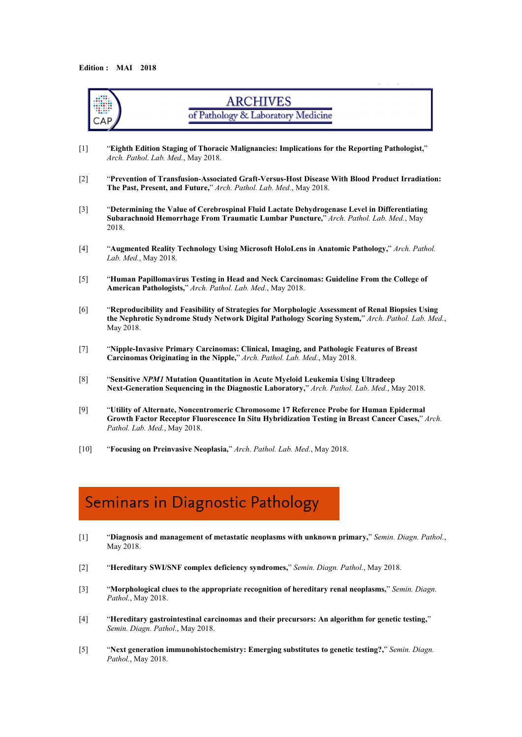

### Seminars in Diagnostic Pathology

- [1] "**Diagnosis and management of metastatic neoplasms with unknown primary,**" *Semin. Diagn. Pathol.*, May 2018.
- [2] "**Hereditary SWI/SNF complex deficiency syndromes,**" *Semin. Diagn. Pathol.*, May 2018.
- [3] "**Morphological clues to the appropriate recognition of hereditary renal neoplasms,**" *Semin. Diagn. Pathol.*, May 2018.
- [4] "**Hereditary gastrointestinal carcinomas and their precursors: An algorithm for genetic testing,**" *Semin. Diagn. Pathol.*, May 2018.
- [5] "**Next generation immunohistochemistry: Emerging substitutes to genetic testing?,**" *Semin. Diagn. Pathol.*, May 2018.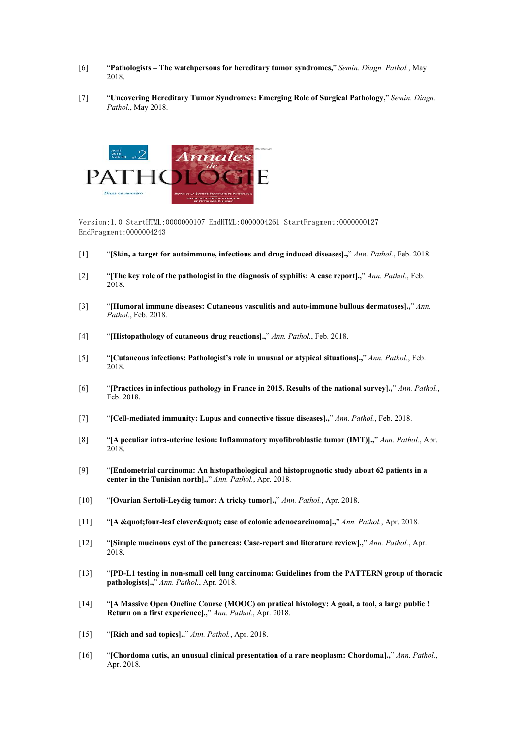- [6] "**Pathologists – The watchpersons for hereditary tumor syndromes,**" *Semin. Diagn. Pathol.*, May 2018.
- [7] "**Uncovering Hereditary Tumor Syndromes: Emerging Role of Surgical Pathology,**" *Semin. Diagn. Pathol.*, May 2018.



Version:1.0 StartHTML:0000000107 EndHTML:0000004261 StartFragment:0000000127 EndFragment:0000004243

- [1] "**[Skin, a target for autoimmune, infectious and drug induced diseases].,**" *Ann. Pathol.*, Feb. 2018.
- [2] "**[The key role of the pathologist in the diagnosis ofsyphilis: A case report].,**" *Ann. Pathol.*, Feb. 2018.
- [3] "**[Humoral immune diseases: Cutaneous vasculitis and auto-immune bullous dermatoses].,**" *Ann. Pathol.*, Feb. 2018.
- [4] "**[Histopathology of cutaneous drug reactions].,**" *Ann. Pathol.*, Feb. 2018.
- [5] "**[Cutaneous infections: Pathologist's role in unusual or atypical situations].,**" *Ann. Pathol.*, Feb. 2018.
- [6] "**[Practices in infectious pathology in France in 2015. Results ofthe national survey].,**" *Ann. Pathol.*, Feb. 2018.
- [7] "**[Cell-mediated immunity: Lupus and connective tissue diseases].,**" *Ann. Pathol.*, Feb. 2018.
- [8] "**[A peculiar intra-uterine lesion: Inflammatory myofibroblastic tumor (IMT)].,**" *Ann. Pathol.*, Apr. 2018.
- [9] "**[Endometrial carcinoma: An histopathological and histoprognotic study about 62 patients in a center in the Tunisian north].,**" *Ann. Pathol.*, Apr. 2018.
- [10] "**[Ovarian Sertoli-Leydig tumor:A tricky tumor].,**" *Ann. Pathol.*, Apr. 2018.
- [11] "**[A "four-leaf clover" case of colonic adenocarcinoma].,**" *Ann. Pathol.*, Apr. 2018.
- [12] "**[Simple mucinous cyst of the pancreas: Case-report and literature review].,**" *Ann. Pathol.*, Apr. 2018.
- [13] "**[PD-L1 testing in non-small cell lung carcinoma: Guidelines from the PATTERN group of thoracic pathologists].,**" *Ann. Pathol.*, Apr. 2018.
- [14] "**[A Massive Open Oneline Course (MOOC) on pratical histology: A goal, a tool, a large public ! Return on a first experience].,**" *Ann. Pathol.*, Apr. 2018.
- [15] "**[Rich and sad topics].,**" *Ann. Pathol.*, Apr. 2018.
- [16] "**[Chordoma cutis, an unusual clinical presentation of a rare neoplasm: Chordoma].,**" *Ann. Pathol.*, Apr. 2018.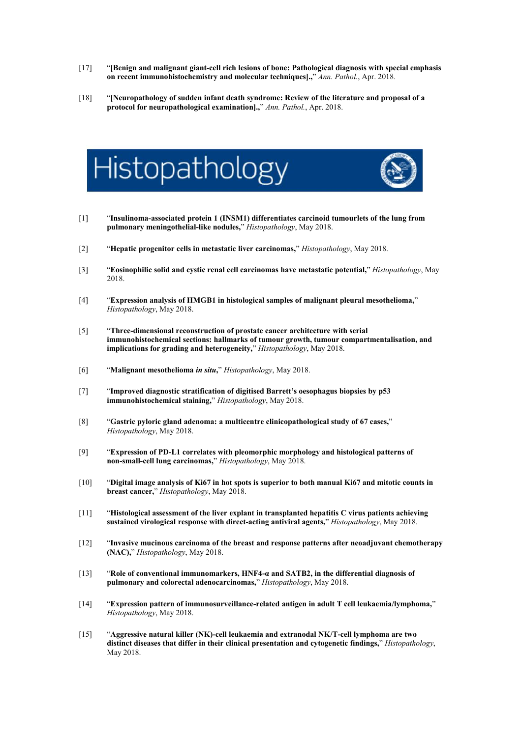- [17] "**[Benign and malignant giant-cell rich lesions ofbone: Pathological diagnosis with special emphasis on recent immunohistochemistry and molecular techniques].,**" *Ann. Pathol.*, Apr. 2018.
- [18] "**[Neuropathology of sudden infant death syndrome: Review of the literature and proposal of a protocol for neuropathological examination].,**" *Ann. Pathol.*, Apr. 2018.





- [2] "**Hepatic progenitor cells in metastatic liver carcinomas,**" *Histopathology*, May 2018.
- [3] "**Eosinophilic solid and cystic renal cell carcinomas have metastatic potential,**" *Histopathology*, May 2018.
- [4] "**Expression analysis ofHMGB1 in histological samples ofmalignant pleural mesothelioma,**" *Histopathology*, May 2018.
- [5] "**Three-dimensional reconstruction of prostate cancer architecture with serial immunohistochemical sections: hallmarks of tumour growth, tumour compartmentalisation, and implications for grading and heterogeneity,**" *Histopathology*, May 2018.
- [6] "**Malignant mesothelioma** *in situ***,**" *Histopathology*, May 2018.
- [7] "**Improved diagnostic stratification of digitised Barrett's oesophagus biopsies by p53 immunohistochemical staining,**" *Histopathology*, May 2018.
- [8] "**Gastric pyloric gland adenoma: a multicentre clinicopathological study of 67 cases,**" *Histopathology*, May 2018.
- [9] "Expression of PD-L1 correlates with pleomorphic morphology and histological patterns of non-small-cell lung carcinomas," Histopathology, May 2018.
- [10] "Digital image analysis of Ki67 in hot spots is superior to both manual Ki67 and mitotic counts in **breast cancer,**" *Histopathology*, May 2018.
- [11] "**Histological assessment of the liver explant in transplanted hepatitis C virus patients achieving sustained virological response with direct-acting antiviral agents,**" *Histopathology*, May 2018.
- [12] "**Invasive mucinous carcinoma of the breast and response patterns after neoadjuvant chemotherapy (NAC),**" *Histopathology*, May 2018.
- [13] "**Role of conventional immunomarkers, HNF4-α and SATB2, in the differential diagnosis of pulmonary and colorectal adenocarcinomas,**" *Histopathology*, May 2018.
- [14] "**Expression pattern of immunosurveillance-related antigen in adult T cell leukaemia/lymphoma,**" *Histopathology*, May 2018.
- [15] "**Aggressive natural killer (NK)-cell leukaemia and extranodal NK/T-cell lymphoma are two distinct diseases that differ in their clinical presentation and cytogenetic findings,**" *Histopathology*, May 2018.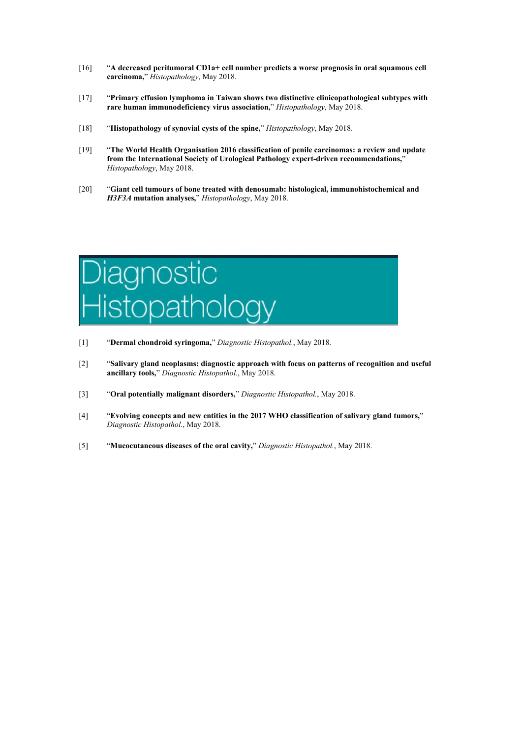- [16] "**A decreased peritumoral CD1a+ cell number predicts a worse prognosis in oral squamous cell carcinoma,**" *Histopathology*, May 2018.
- [17] "**Primary effusion lymphoma in Taiwan shows two distinctive clinicopathological subtypes with rare human immunodeficiency virus association,**" *Histopathology*, May 2018.
- [18] "**Histopathology of synovial cysts ofthe spine,**" *Histopathology*, May 2018.
- [19] "**The World Health Organisation 2016 classification of penile carcinomas: a review and update from the International Society of Urological Pathology expert-driven recommendations,**" *Histopathology*, May 2018.
- [20] "**Giant cell tumours of bone treated with denosumab: histological, immunohistochemical and** *H3F3A* **mutation analyses,**" *Histopathology*, May 2018.



- [1] "**Dermal chondroid syringoma,**" *Diagnostic Histopathol.*, May 2018.
- [2] "**Salivary gland neoplasms: diagnostic approach with focus on patterns ofrecognition and useful ancillary tools,**" *Diagnostic Histopathol.*, May 2018.
- [3] "**Oral potentially malignant disorders,**" *Diagnostic Histopathol.*, May 2018.
- [4] "**Evolving concepts and new entities in the 2017 WHO classification of salivary gland tumors,**" *Diagnostic Histopathol.*, May 2018.
- [5] "**Mucocutaneous diseases ofthe oral cavity,**" *Diagnostic Histopathol.*, May 2018.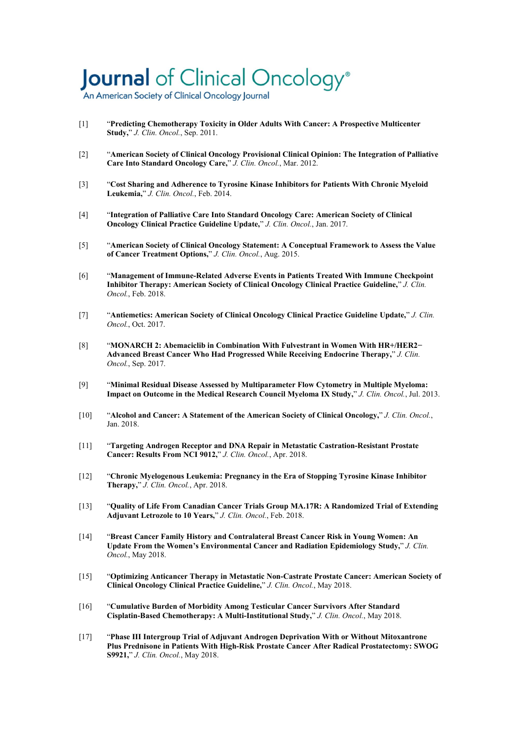### Journal of Clinical Oncology®

An American Society of Clinical Oncology Journal

- [1] "**Predicting Chemotherapy Toxicity in Older Adults With Cancer: A Prospective Multicenter Study,**" *J. Clin. Oncol.*, Sep. 2011.
- [2] "**American Society of Clinical Oncology Provisional Clinical Opinion: The Integration of Palliative Care Into Standard Oncology Care,**" *J. Clin. Oncol.*, Mar. 2012.
- [3] "**Cost Sharing and Adherence to Tyrosine Kinase Inhibitors for Patients With Chronic Myeloid Leukemia,**" *J. Clin. Oncol.*, Feb. 2014.
- [4] "**Integration of Palliative Care Into Standard Oncology Care: American Society of Clinical Oncology Clinical Practice Guideline Update,**" *J. Clin. Oncol.*, Jan. 2017.
- [5] "**American Society of Clinical Oncology Statement: A Conceptual Framework to Assess the Value of Cancer Treatment Options,**" *J. Clin. Oncol.*, Aug. 2015.
- [6] "**Management of Immune-Related Adverse Events in Patients Treated With Immune Checkpoint Inhibitor Therapy: American Society of Clinical Oncology Clinical Practice Guideline,**" *J. Clin. Oncol.*, Feb. 2018.
- [7] "**Antiemetics: American Society of Clinical Oncology Clinical Practice Guideline Update,**" *J. Clin. Oncol.*, Oct. 2017.
- [8] "**MONARCH 2: Abemaciclib in Combination With Fulvestrant in Women With HR+/HER2− Advanced Breast Cancer Who Had Progressed While Receiving Endocrine Therapy,**" *J. Clin. Oncol.*, Sep. 2017.
- [9] "**Minimal Residual Disease Assessed by Multiparameter Flow Cytometry in Multiple Myeloma: Impact on Outcome in the Medical Research Council Myeloma IX Study," J. Clin. Oncol., Jul. 2013.**
- [10] "**Alcohol and Cancer: A Statement of the American Society of Clinical Oncology,**" *J. Clin. Oncol.*, Jan. 2018.
- [11] "**Targeting Androgen Receptor and DNA Repair in Metastatic Castration-Resistant Prostate Cancer: Results From NCI 9012,**" *J. Clin. Oncol.*, Apr. 2018.
- [12] "**Chronic Myelogenous Leukemia: Pregnancy in the Era of Stopping Tyrosine Kinase Inhibitor Therapy,**" *J. Clin. Oncol.*, Apr. 2018.
- [13] "**Quality of Life From Canadian Cancer Trials Group MA.17R:A Randomized Trial of Extending Adjuvant Letrozole to 10 Years,**" *J. Clin. Oncol.*, Feb. 2018.
- [14] "**Breast Cancer Family History and Contralateral Breast Cancer Risk in Young Women: An Update From the Women's Environmental Cancer and Radiation Epidemiology Study,**" *J. Clin. Oncol.*, May 2018.
- [15] "**Optimizing Anticancer Therapy in Metastatic Non-Castrate Prostate Cancer: American Society of Clinical Oncology Clinical Practice Guideline,**" *J. Clin. Oncol.*, May 2018.
- [16] "**Cumulative Burden of Morbidity Among Testicular Cancer Survivors After Standard Cisplatin-Based Chemotherapy: A Multi-Institutional Study,**" *J. Clin. Oncol.*, May 2018.
- [17] "**Phase III Intergroup Trial of Adjuvant Androgen Deprivation With or Without Mitoxantrone Plus Prednisone in Patients With High-Risk Prostate Cancer After Radical Prostatectomy: SWOG S9921,**" *J. Clin. Oncol.*, May 2018.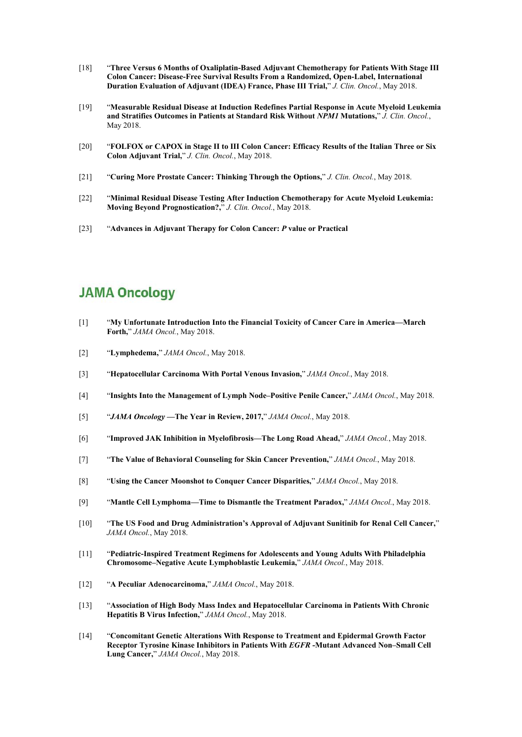- [18] "**Three Versus 6 Months ofOxaliplatin-Based AdjuvantChemotherapy for Patients With Stage III Colon Cancer: Disease-Free Survival Results From a Randomized, Open-Label, International Duration Evaluation of Adjuvant (IDEA) France, Phase III Trial,**" *J. Clin. Oncol.*, May 2018.
- [19] "**Measurable Residual Disease at Induction Redefines Partial Response in Acute Myeloid Leukemia and Stratifies Outcomes in Patients atStandard Risk Without** *NPM1* **Mutations,**" *J. Clin. Oncol.*, May 2018.
- [20] "**FOLFOX or CAPOX in Stage IIto III Colon Cancer: Efficacy Results ofthe Italian Three or Six Colon Adjuvant Trial,**" *J. Clin. Oncol.*, May 2018.
- [21] "**Curing More Prostate Cancer: Thinking Through the Options,**" *J. Clin. Oncol.*, May 2018.
- [22] "**Minimal Residual Disease Testing After Induction Chemotherapy for Acute Myeloid Leukemia: Moving Beyond Prognostication?,**" *J. Clin. Oncol.*, May 2018.
- [23] "**Advances in AdjuvantTherapy for Colon Cancer:** *P* **value or Practical**

#### **JAMA Oncology**

- [1] "**My Unfortunate Introduction Into the Financial Toxicity of Cancer Care in America—March Forth,**" *JAMA Oncol.*, May 2018.
- [2] "**Lymphedema,**" *JAMA Oncol.*, May 2018.
- [3] "**Hepatocellular Carcinoma With Portal Venous Invasion,**" *JAMA Oncol.*, May 2018.
- [4] "**Insights Into the Management of Lymph Node–Positive Penile Cancer,**" *JAMA Oncol.*, May 2018.
- [5] "*JAMA Oncology***—The Year in Review, 2017,**" *JAMA Oncol.*, May 2018.
- [6] "**Improved JAK Inhibition in Myelofibrosis—The Long Road Ahead,**" *JAMA Oncol.*, May 2018.
- [7] "**The Value of Behavioral Counseling for Skin Cancer Prevention,**" *JAMA Oncol.*, May 2018.
- [8] "**Using the Cancer Moonshot to Conquer Cancer Disparities,**" *JAMA Oncol.*, May 2018.
- [9] "**Mantle Cell Lymphoma—Time to Dismantle the Treatment Paradox,**" *JAMA Oncol.*, May 2018.
- [10] "**The US Food and Drug Administration's Approval of Adjuvant Sunitinib for Renal Cell Cancer,**" *JAMA Oncol.*, May 2018.
- [11] "**Pediatric-Inspired Treatment Regimens for Adolescents and Young Adults With Philadelphia Chromosome–Negative Acute Lymphoblastic Leukemia,**" *JAMA Oncol.*, May 2018.
- [12] "**A Peculiar Adenocarcinoma,**" *JAMA Oncol.*, May 2018.
- [13] "**Association of High Body Mass Index and Hepatocellular Carcinoma in Patients With Chronic Hepatitis B Virus Infection,**" *JAMA Oncol.*, May 2018.
- [14] "**Concomitant Genetic Alterations With Response to Treatment and Epidermal Growth Factor Receptor Tyrosine Kinase Inhibitors in Patients With** *EGFR* **-Mutant Advanced Non–Small Cell Lung Cancer,**" *JAMA Oncol.*, May 2018.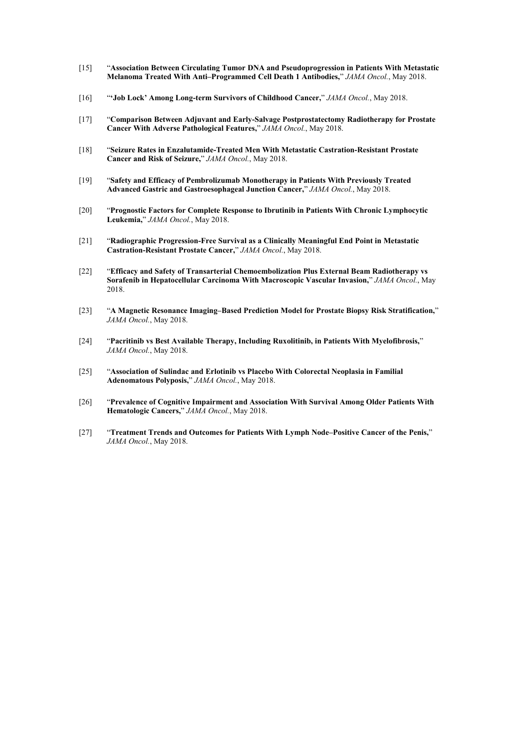- [15] "**Association Between Circulating Tumor DNA and Pseudoprogression in Patients With Metastatic Melanoma Treated With Anti–Programmed Cell Death 1 Antibodies,**" *JAMA Oncol.*, May 2018.
- [16] "**'Job Lock' Among Long-term Survivors ofChildhood Cancer,**" *JAMA Oncol.*, May 2018.
- [17] "**Comparison Between Adjuvant and Early-Salvage Postprostatectomy Radiotherapy for Prostate Cancer With Adverse Pathological Features,**" *JAMA Oncol.*, May 2018.
- [18] "**Seizure Rates in Enzalutamide-Treated Men With Metastatic Castration-Resistant Prostate Cancer and Risk of Seizure,**" *JAMA Oncol.*, May 2018.
- [19] "**Safety and Efficacy of Pembrolizumab Monotherapy in Patients With Previously Treated Advanced Gastric and Gastroesophageal Junction Cancer,**" *JAMA Oncol.*, May 2018.
- [20] "**Prognostic Factors for Complete Response to Ibrutinib in Patients With Chronic Lymphocytic Leukemia,**" *JAMA Oncol.*, May 2018.
- [21] "**Radiographic Progression-Free Survival as a Clinically Meaningful End Point in Metastatic Castration-Resistant Prostate Cancer,**" *JAMA Oncol.*, May 2018.
- [22] "**Efficacy and Safety of Transarterial Chemoembolization Plus External Beam Radiotherapy vs Sorafenib in Hepatocellular Carcinoma With Macroscopic Vascular Invasion,**" *JAMA Oncol.*, May 2018.
- [23] "**A Magnetic Resonance Imaging–Based Prediction Model for Prostate Biopsy Risk Stratification,**" *JAMA Oncol.*, May 2018.
- [24] "**Pacritinib vs Best Available Therapy, Including Ruxolitinib, in Patients With Myelofibrosis,**" *JAMA Oncol.*, May 2018.
- [25] "**Association of Sulindac and Erlotinib vs Placebo With Colorectal Neoplasia in Familial Adenomatous Polyposis,**" *JAMA Oncol.*, May 2018.
- [26] "**Prevalence of Cognitive Impairment and Association With Survival Among Older Patients With Hematologic Cancers,**" *JAMA Oncol.*, May 2018.
- [27] "**Treatment Trends and Outcomes for Patients With Lymph Node–Positive Cancer of the Penis,**" *JAMA Oncol.*, May 2018.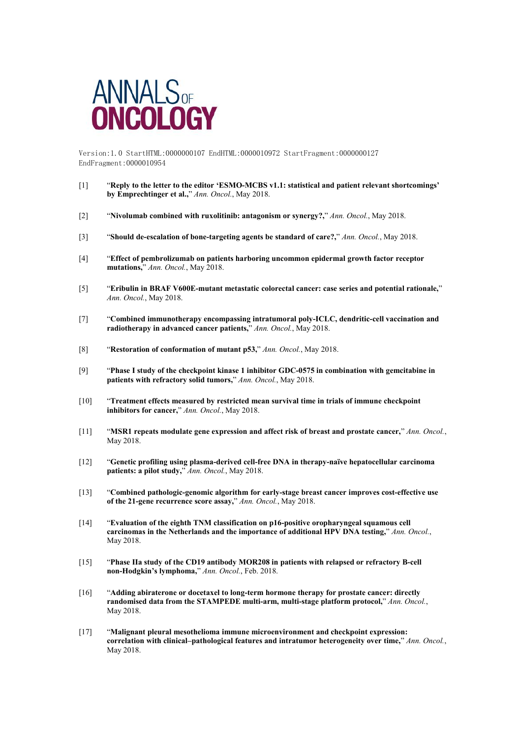

Version:1.0 StartHTML:0000000107 EndHTML:0000010972 StartFragment:0000000127 EndFragment:0000010954

- [1] "**Reply to the letter to the editor 'ESMO-MCBS v1.1: statistical and patient relevant shortcomings' by Emprechtinger et al.,**" *Ann. Oncol.*, May 2018.
- [2] "**Nivolumab combined with ruxolitinib: antagonism or synergy?,**" *Ann. Oncol.*, May 2018.
- [3] "**Should de-escalation of bone-targeting agents be standard of care?,**" *Ann. Oncol.*, May 2018.
- [4] "**Effect of pembrolizumab on patients harboring uncommon epidermal growth factor receptor mutations,**" *Ann. Oncol.*, May 2018.
- [5] "**Eribulin in BRAF V600E-mutant metastatic colorectal cancer: case series and potential rationale,**" *Ann. Oncol.*, May 2018.
- [7] "**Combined immunotherapy encompassing intratumoral poly-ICLC, dendritic-cell vaccination and radiotherapy in advanced cancer patients,**" *Ann. Oncol.*, May 2018.
- [8] "**Restoration of conformation of mutant p53,**" *Ann. Oncol.*, May 2018.
- [9] "**Phase I study of the checkpoint kinase 1 inhibitor GDC-0575 in combination with gemcitabine in patients with refractory solid tumors,**" *Ann. Oncol.*, May 2018.
- [10] "**Treatment effects measured by restricted mean survival time in trials ofimmune checkpoint inhibitors for cancer,**" *Ann. Oncol.*, May 2018.
- [11] "**MSR1 repeats modulate gene expression and affect risk of breast and prostate cancer,**" *Ann. Oncol.*, May 2018.
- [12] "**Genetic profiling using plasma-derived cell-free DNA in therapy-naïve hepatocellular carcinoma patients: a pilot study,**" *Ann. Oncol.*, May 2018.
- [13] "**Combined pathologic‐genomic algorithm for early-stage breast cancer improves cost-effective use of the 21-gene recurrence score assay,**" *Ann. Oncol.*, May 2018.
- [14] "**Evaluation of the eighth TNM classification on p16-positive oropharyngeal squamous cell carcinomas in the Netherlands and the importance of additional HPV DNA testing,**" *Ann. Oncol.*, May 2018.
- [15] "**Phase IIa study of the CD19 antibody MOR208 in patients with relapsed or refractory B-cell non-Hodgkin's lymphoma,**" *Ann. Oncol.*, Feb. 2018.
- [16] "**Adding abiraterone or docetaxel to long-term hormone therapy for prostate cancer: directly randomised data from the STAMPEDE multi-arm, multi-stage platform protocol,**" *Ann. Oncol.*, May 2018.
- [17] "**Malignant pleural mesothelioma immune microenvironment and checkpoint expression: correlation with clinical–pathological features and intratumor heterogeneity over time,**" *Ann. Oncol.*, May 2018.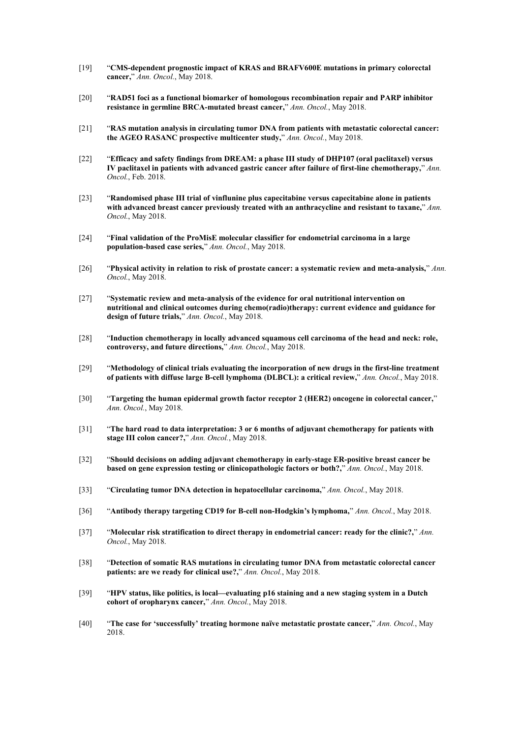- [19] "**CMS-dependent prognostic impact of KRAS and BRAFV600E mutations in primary colorectal cancer,**" *Ann. Oncol.*, May 2018.
- [20] "**RAD51 foci as a functional biomarker of homologous recombination repair and PARP inhibitor resistance in germline BRCA-mutated breast cancer,**" *Ann. Oncol.*, May 2018.
- [21] "**RAS mutation analysis in circulating tumor DNA from patients with metastatic colorectal cancer: the AGEO RASANC prospective multicenter study,**" *Ann. Oncol.*, May 2018.
- [22] "**Efficacy and safety findings from DREAM: a phase III study of DHP107 (oral paclitaxel) versus IV paclitaxel in patients with advanced gastric cancer after failure of first-line chemotherapy,**" *Ann. Oncol.*, Feb. 2018.
- [23] "**Randomised phase III trialof vinflunine plus capecitabine versus capecitabine alone in patients with advanced breast cancer previously treated with an anthracycline and resistant to taxane,**" *Ann. Oncol.*, May 2018.
- [24] "**Final validation of the ProMisE molecular classifier for endometrial carcinoma in a large population-based case series,**" *Ann. Oncol.*, May 2018.
- [26] "**Physical activity in relation torisk of prostate cancer: a systematic review and meta-analysis,**" *Ann. Oncol.*, May 2018.
- [27] "**Systematic review and meta-analysis ofthe evidence for oral nutritional intervention on nutritional and clinical outcomes during chemo(radio)therapy: current evidence and guidance for design of future trials,**" *Ann. Oncol.*, May 2018.
- [28] "**Induction chemotherapy in locally advanced squamous cell carcinoma of the head and neck: role, controversy, and future directions,**" *Ann. Oncol.*, May 2018.
- [29] "**Methodology of clinical trials evaluating the incorporation of new drugs in thefirst-line treatment of patients with diffuse large B-cell lymphoma (DLBCL): a critical review,**" *Ann. Oncol.*, May 2018.
- [30] "**Targeting the human epidermal growth factor receptor 2 (HER2) oncogene in colorectal cancer,**" *Ann. Oncol.*, May 2018.
- [31] "**The hard road todata interpretation: 3 or 6 months ofadjuvant chemotherapy for patients with stage III colon cancer?,**" *Ann. Oncol.*, May 2018.
- [32] "**Should decisions on adding adjuvant chemotherapy in early-stage ER-positive breast cancer be based on geneexpression testing or clinicopathologic factors or both?,**" *Ann. Oncol.*, May 2018.
- [33] "**Circulating tumor DNA detection in hepatocellular carcinoma,**" *Ann. Oncol.*, May 2018.
- [36] "**Antibody therapy targeting CD19 for B-cellnon-Hodgkin's lymphoma,**" *Ann. Oncol.*, May 2018.
- [37] "**Molecular risk stratification to direct therapy in endometrial cancer: ready for the clinic?,**" *Ann. Oncol.*, May 2018.
- [38] "**Detection of somatic RAS mutations in circulating tumor DNA from metastatic colorectal cancer patients: are we ready for clinical use?,**" *Ann. Oncol.*, May 2018.
- [39] "**HPV status, like politics, is local—evaluating p16 staining and a new staging system in a Dutch cohort of oropharynx cancer,**" *Ann. Oncol.*, May 2018.
- [40] "**The case for 'successfully' treating hormone naïve metastatic prostate cancer,**" *Ann. Oncol.*, May 2018.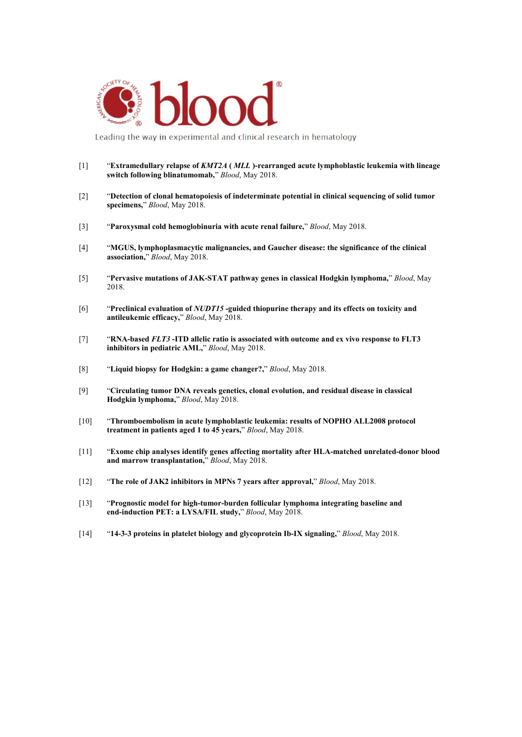

Leading the way in experimental and clinical research in hematology

- [1] "**Extramedullary relapse of** *KMT2A* **(** *MLL* **)-rearranged acute lymphoblastic leukemia with lineage switch following blinatumomab,**" *Blood*, May 2018.
- [2] "**Detection of clonal hematopoiesis ofindeterminate potential in clinical sequencing of solid tumor specimens,**" *Blood*, May 2018.
- [3] "**Paroxysmal cold hemoglobinuria with acute renal failure,**" *Blood*, May 2018.
- [4] "**MGUS, lymphoplasmacytic malignancies, and Gaucher disease: the significance of the clinical association,**" *Blood*, May 2018.
- [5] "**Pervasive mutations ofJAK-STAT pathway genes in classical Hodgkin lymphoma,**" *Blood*, May 2018.
- [6] "**Preclinical evaluation of** *NUDT15* **-guided thiopurine therapy and its effects on toxicity and antileukemic efficacy,**" *Blood*, May 2018.
- [7] "**RNA-based** *FLT3* **-ITD allelic ratio is associated with outcome and ex vivo response to FLT3 inhibitors in pediatric AML,**" *Blood*, May 2018.
- [8] "**Liquid biopsy for Hodgkin: a game changer?,**" *Blood*, May 2018.
- [9] "**Circulating tumor DNA reveals genetics, clonal evolution, and residual disease in classical Hodgkin lymphoma,**" *Blood*, May 2018.
- [10] "**Thromboembolism in acute lymphoblastic leukemia: results ofNOPHO ALL2008 protocol treatment in patients aged 1 to 45 years,**" *Blood*, May 2018.
- [11] "**Exome chip analyses identify genes affecting mortality after HLA-matched unrelated-donor blood and marrow transplantation,**" *Blood*, May 2018.
- [12] "**The role of JAK2 inhibitors in MPNs 7 years after approval,**" *Blood*, May 2018.
- [13] "**Prognostic model for high-tumor-burden follicular lymphoma integrating baseline and end-induction PET: a LYSA/FIL study,**" *Blood*, May 2018.
- [14] "**14-3-3 proteins in platelet biology and glycoprotein Ib-IX signaling,**" *Blood*, May 2018.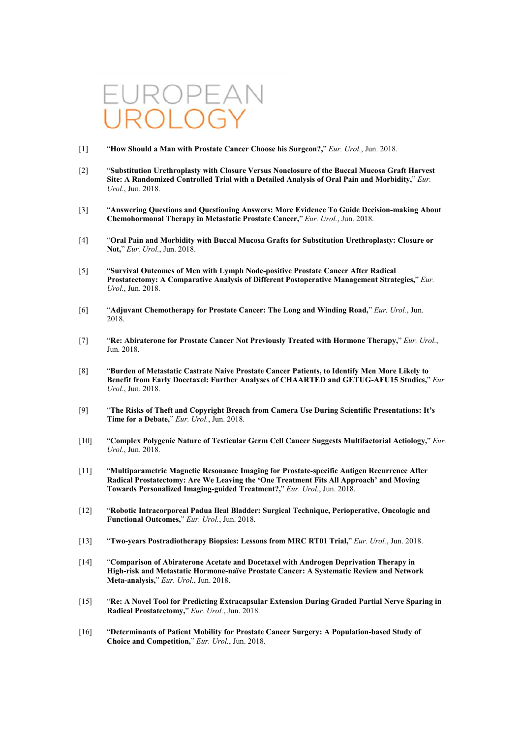# $\rightarrow$

- [1] "**How Should a Man with Prostate Cancer Choose his Surgeon?,**" *Eur. Urol.*, Jun. 2018.
- [2] "**Substitution Urethroplasty with Closure Versus Nonclosure of the BuccalMucosa Graft Harvest Site: A Randomized Controlled Trial with a Detailed Analysis ofOral Pain and Morbidity,**" *Eur. Urol.*, Jun. 2018.
- [3] "**Answering Questions and Questioning Answers: More Evidence To Guide Decision-making About Chemohormonal Therapy in Metastatic Prostate Cancer,**" *Eur. Urol.*, Jun. 2018.
- [4] "**Oral Pain and Morbidity with Buccal Mucosa Grafts for Substitution Urethroplasty: Closure or Not,**" *Eur. Urol.*, Jun. 2018.
- [5] "**Survival Outcomes ofMen with Lymph Node-positive Prostate Cancer After Radical Prostatectomy: A Comparative Analysis ofDifferent Postoperative Management Strategies,**" *Eur. Urol.*, Jun. 2018.
- [6] "**Adjuvant Chemotherapy for Prostate Cancer: The Long and Winding Road,**" *Eur. Urol.*, Jun. 2018.
- [7] "**Re: Abiraterone for Prostate Cancer Not Previously Treated with Hormone Therapy,**" *Eur. Urol.*, Jun. 2018.
- [8] "**Burden of Metastatic Castrate Naive Prostate Cancer Patients, to Identify Men More Likely to Benefit from Early Docetaxel: Further Analyses ofCHAARTED and GETUG-AFU15 Studies,**" *Eur. Urol.*, Jun. 2018.
- [9] "**The Risks ofTheft and Copyright Breach from Camera Use During Scientific Presentations: It's Time for a Debate,**" *Eur. Urol.*, Jun. 2018.
- [10] "**Complex Polygenic Nature of Testicular Germ Cell Cancer Suggests Multifactorial Aetiology,**" *Eur. Urol.*, Jun. 2018.
- [11] "**Multiparametric Magnetic Resonance Imaging for Prostate-specific Antigen Recurrence After Radical Prostatectomy: Are We Leaving the 'One Treatment Fits All Approach' and Moving Towards Personalized Imaging-guided Treatment?,**" *Eur. Urol.*, Jun. 2018.
- [12] "**Robotic Intracorporeal Padua Ileal Bladder: Surgical Technique, Perioperative, Oncologic and Functional Outcomes,**" *Eur. Urol.*, Jun. 2018.
- [13] "**Two-years Postradiotherapy Biopsies: Lessons from MRC RT01 Trial,**" *Eur. Urol.*, Jun. 2018.
- [14] "**Comparison of Abiraterone Acetate and Docetaxel with Androgen Deprivation Therapy in High-risk and Metastatic Hormone-naïve Prostate Cancer: A Systematic Review and Network Meta-analysis,**" *Eur. Urol.*, Jun. 2018.
- [15] "**Re: A Novel Tool for Predicting Extracapsular Extension During Graded Partial Nerve Sparing in Radical Prostatectomy,**" *Eur. Urol.*, Jun. 2018.
- [16] "**Determinants ofPatient Mobility for Prostate Cancer Surgery: A Population-based Study of Choice and Competition,**" *Eur. Urol.*, Jun. 2018.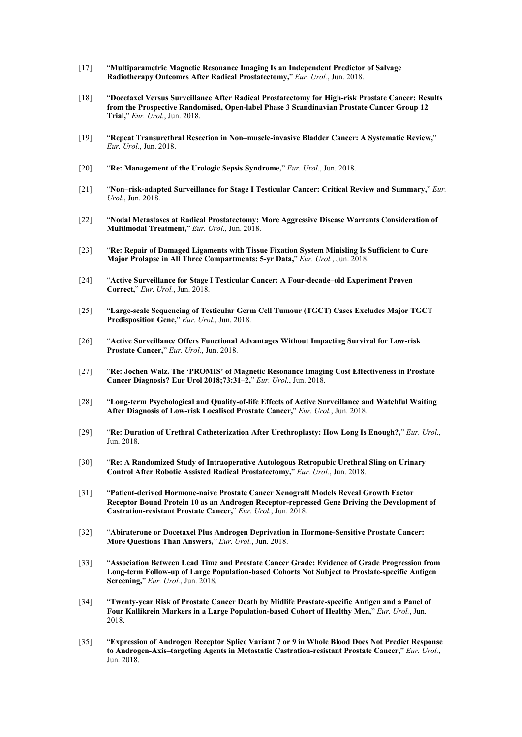- [17] "**Multiparametric Magnetic Resonance Imaging Is an Independent Predictor of Salvage Radiotherapy Outcomes After Radical Prostatectomy,**" *Eur. Urol.*, Jun. 2018.
- [18] "**Docetaxel Versus Surveillance After Radical Prostatectomy for High-risk Prostate Cancer: Results from the Prospective Randomised, Open-label Phase 3 Scandinavian Prostate Cancer Group 12 Trial,**" *Eur. Urol.*, Jun. 2018.
- [19] "**Repeat Transurethral Resection in Non–muscle-invasive Bladder Cancer: A Systematic Review,**" *Eur. Urol.*, Jun. 2018.
- [20] "**Re: Management of the Urologic Sepsis Syndrome,**" *Eur. Urol.*, Jun. 2018.
- [21] "**Non–risk-adapted Surveillance for Stage I Testicular Cancer: Critical Review and Summary,**" *Eur. Urol.*, Jun. 2018.
- [22] "**Nodal Metastases atRadical Prostatectomy: More Aggressive Disease Warrants Consideration of Multimodal Treatment,**" *Eur. Urol.*, Jun. 2018.
- [23] "**Re: Repair of Damaged Ligaments with Tissue Fixation System Minisling Is Sufficient to Cure Major Prolapse in All Three Compartments: 5-yr Data,**" *Eur. Urol.*, Jun. 2018.
- [24] "**Active Surveillance for Stage I Testicular Cancer: A Four-decade–old Experiment Proven Correct,**" *Eur. Urol.*, Jun. 2018.
- [25] "**Large-scale Sequencing of Testicular Germ Cell Tumour (TGCT)Cases Excludes Major TGCT Predisposition Gene,**" *Eur. Urol.*, Jun. 2018.
- [26] "**Active Surveillance Offers Functional Advantages Without Impacting Survival for Low-risk Prostate Cancer,**" *Eur. Urol.*, Jun. 2018.
- [27] "**Re: Jochen Walz. The 'PROMIS' of Magnetic Resonance Imaging Cost Effectiveness in Prostate Cancer Diagnosis? Eur Urol 2018;73:31–2,**" *Eur. Urol.*, Jun. 2018.
- [28] "**Long-term Psychological and Quality-of-life Effects of Active Surveillance and Watchful Waiting After Diagnosis ofLow-risk Localised Prostate Cancer,**" *Eur. Urol.*, Jun. 2018.
- [29] "**Re: Duration of Urethral Catheterization After Urethroplasty: How Long Is Enough?,**" *Eur. Urol.*, Jun. 2018.
- [30] "**Re: A Randomized Study of Intraoperative Autologous Retropubic Urethral Sling on Urinary Control After Robotic Assisted Radical Prostatectomy,**" *Eur. Urol.*, Jun. 2018.
- [31] "**Patient-derived Hormone-naive Prostate Cancer Xenograft Models Reveal Growth Factor Receptor Bound Protein 10 as an Androgen Receptor-repressed Gene Driving the Development of Castration-resistant Prostate Cancer,**" *Eur. Urol.*, Jun. 2018.
- [32] "**Abiraterone or Docetaxel Plus Androgen Deprivation in Hormone-Sensitive Prostate Cancer: More Questions Than Answers,**" *Eur. Urol.*, Jun. 2018.
- [33] "**Association Between Lead Time and Prostate Cancer Grade: Evidence of Grade Progression from Long-term Follow-up of Large Population-based Cohorts Not Subject to Prostate-specific Antigen Screening,**" *Eur. Urol.*, Jun. 2018.
- [34] "**Twenty-year Risk of Prostate Cancer Death by Midlife Prostate-specific Antigen and a Panel of Four Kallikrein Markers in a Large Population-based Cohort of Healthy Men,**" *Eur. Urol.*, Jun. 2018.
- [35] "**Expression of Androgen Receptor Splice Variant 7 or 9 in Whole Blood Does Not Predict Response to Androgen-Axis–targeting Agents in Metastatic Castration-resistant Prostate Cancer,**" *Eur. Urol.*, Jun. 2018.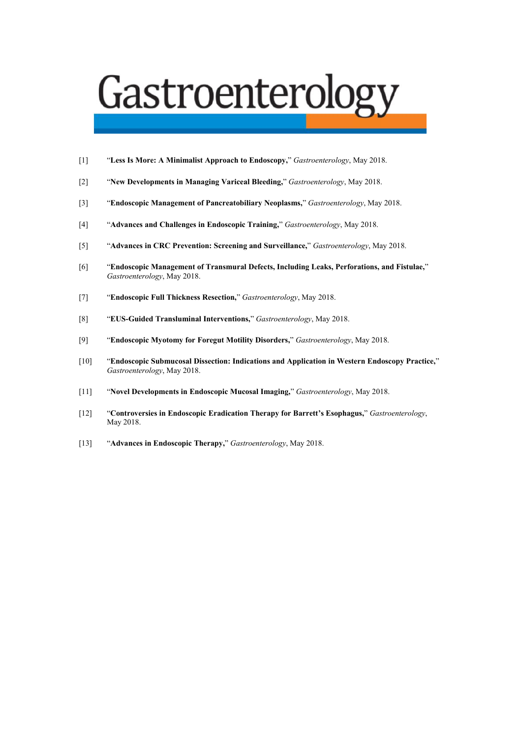## Gastroenterology

- [1] "**Less Is More: A Minimalist Approach toEndoscopy,**" *Gastroenterology*, May 2018.
- [2] "**New Developmentsin Managing Variceal Bleeding,**" *Gastroenterology*, May 2018.
- [3] "**Endoscopic Management of Pancreatobiliary Neoplasms,**" *Gastroenterology*, May 2018.
- [4] "**Advances and Challenges in Endoscopic Training,**" *Gastroenterology*, May 2018.
- [5] "**Advances in CRC Prevention: Screening and Surveillance,**" *Gastroenterology*, May 2018.
- [6] "**Endoscopic Management of Transmural Defects, Including Leaks, Perforations, and Fistulae,**" *Gastroenterology*, May 2018.
- [7] "**Endoscopic Full Thickness Resection,**" *Gastroenterology*, May 2018.
- [8] "**EUS-Guided Transluminal Interventions,**" *Gastroenterology*, May 2018.
- [9] "**Endoscopic Myotomy for Foregut Motility Disorders,**" *Gastroenterology*, May 2018.
- [10] "**Endoscopic Submucosal Dissection: Indications and Application in Western Endoscopy Practice,**" *Gastroenterology*, May 2018.
- [11] "**Novel Developments in Endoscopic Mucosal Imaging,**" *Gastroenterology*, May 2018.
- [12] "**Controversies in Endoscopic Eradication Therapy for Barrett's Esophagus,**" *Gastroenterology*, May 2018.
- [13] "**Advances in Endoscopic Therapy,**" *Gastroenterology*, May 2018.